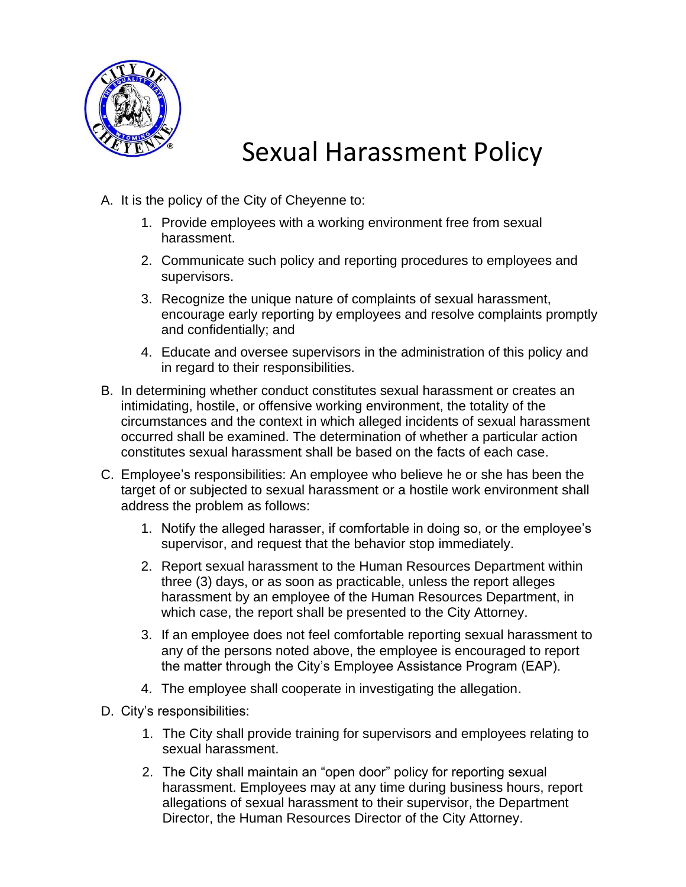

## Sexual Harassment Policy

- A. It is the policy of the City of Cheyenne to:
	- 1. Provide employees with a working environment free from sexual harassment.
	- 2. Communicate such policy and reporting procedures to employees and supervisors.
	- 3. Recognize the unique nature of complaints of sexual harassment, encourage early reporting by employees and resolve complaints promptly and confidentially; and
	- 4. Educate and oversee supervisors in the administration of this policy and in regard to their responsibilities.
- B. In determining whether conduct constitutes sexual harassment or creates an intimidating, hostile, or offensive working environment, the totality of the circumstances and the context in which alleged incidents of sexual harassment occurred shall be examined. The determination of whether a particular action constitutes sexual harassment shall be based on the facts of each case.
- C. Employee's responsibilities: An employee who believe he or she has been the target of or subjected to sexual harassment or a hostile work environment shall address the problem as follows:
	- 1. Notify the alleged harasser, if comfortable in doing so, or the employee's supervisor, and request that the behavior stop immediately.
	- 2. Report sexual harassment to the Human Resources Department within three (3) days, or as soon as practicable, unless the report alleges harassment by an employee of the Human Resources Department, in which case, the report shall be presented to the City Attorney.
	- 3. If an employee does not feel comfortable reporting sexual harassment to any of the persons noted above, the employee is encouraged to report the matter through the City's Employee Assistance Program (EAP).
	- 4. The employee shall cooperate in investigating the allegation.
- D. City's responsibilities:
	- 1. The City shall provide training for supervisors and employees relating to sexual harassment.
	- 2. The City shall maintain an "open door" policy for reporting sexual harassment. Employees may at any time during business hours, report allegations of sexual harassment to their supervisor, the Department Director, the Human Resources Director of the City Attorney.